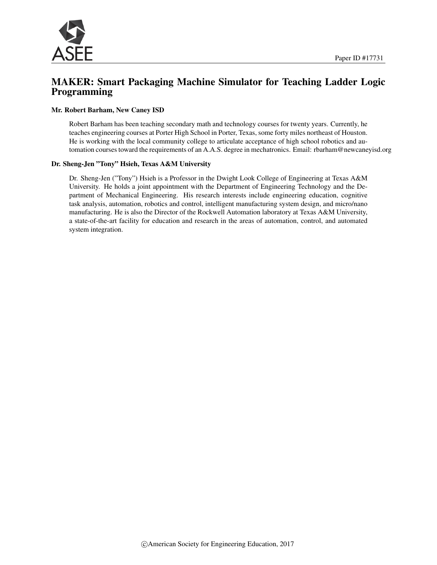

## MAKER: Smart Packaging Machine Simulator for Teaching Ladder Logic Programming

#### Mr. Robert Barham, New Caney ISD

Robert Barham has been teaching secondary math and technology courses for twenty years. Currently, he teaches engineering courses at Porter High School in Porter, Texas, some forty miles northeast of Houston. He is working with the local community college to articulate acceptance of high school robotics and automation courses toward the requirements of an A.A.S. degree in mechatronics. Email: rbarham@newcaneyisd.org

#### Dr. Sheng-Jen "Tony" Hsieh, Texas A&M University

Dr. Sheng-Jen ("Tony") Hsieh is a Professor in the Dwight Look College of Engineering at Texas A&M University. He holds a joint appointment with the Department of Engineering Technology and the Department of Mechanical Engineering. His research interests include engineering education, cognitive task analysis, automation, robotics and control, intelligent manufacturing system design, and micro/nano manufacturing. He is also the Director of the Rockwell Automation laboratory at Texas A&M University, a state-of-the-art facility for education and research in the areas of automation, control, and automated system integration.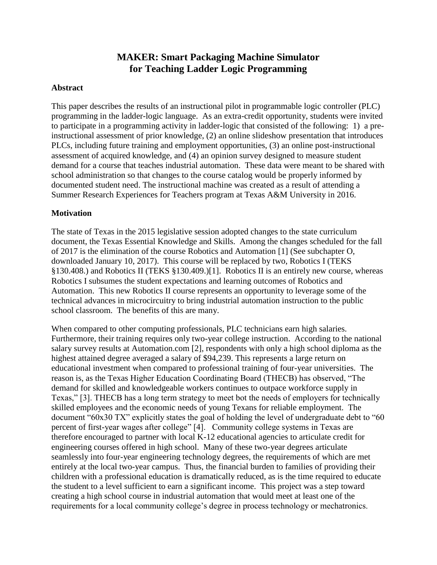# **MAKER: Smart Packaging Machine Simulator for Teaching Ladder Logic Programming**

### **Abstract**

This paper describes the results of an instructional pilot in programmable logic controller (PLC) programming in the ladder-logic language. As an extra-credit opportunity, students were invited to participate in a programming activity in ladder-logic that consisted of the following: 1) a preinstructional assessment of prior knowledge, (2) an online slideshow presentation that introduces PLCs, including future training and employment opportunities, (3) an online post-instructional assessment of acquired knowledge, and (4) an opinion survey designed to measure student demand for a course that teaches industrial automation. These data were meant to be shared with school administration so that changes to the course catalog would be properly informed by documented student need. The instructional machine was created as a result of attending a Summer Research Experiences for Teachers program at Texas A&M University in 2016.

#### **Motivation**

The state of Texas in the 2015 legislative session adopted changes to the state curriculum document, the Texas Essential Knowledge and Skills. Among the changes scheduled for the fall of 2017 is the elimination of the course Robotics and Automation [1] (See subchapter O, downloaded January 10, 2017). This course will be replaced by two, Robotics I (TEKS §130.408.) and Robotics II (TEKS §130.409.)[1]. Robotics II is an entirely new course, whereas Robotics I subsumes the student expectations and learning outcomes of Robotics and Automation. This new Robotics II course represents an opportunity to leverage some of the technical advances in microcircuitry to bring industrial automation instruction to the public school classroom. The benefits of this are many.

When compared to other computing professionals, PLC technicians earn high salaries. Furthermore, their training requires only two-year college instruction. According to the national salary survey results at Automation.com [2], respondents with only a high school diploma as the highest attained degree averaged a salary of \$94,239. This represents a large return on educational investment when compared to professional training of four-year universities. The reason is, as the Texas Higher Education Coordinating Board (THECB) has observed, "The demand for skilled and knowledgeable workers continues to outpace workforce supply in Texas," [3]. THECB has a long term strategy to meet bot the needs of employers for technically skilled employees and the economic needs of young Texans for reliable employment. The document "60x30 TX" explicitly states the goal of holding the level of undergraduate debt to "60 percent of first-year wages after college" [4]. Community college systems in Texas are therefore encouraged to partner with local K-12 educational agencies to articulate credit for engineering courses offered in high school. Many of these two-year degrees articulate seamlessly into four-year engineering technology degrees, the requirements of which are met entirely at the local two-year campus. Thus, the financial burden to families of providing their children with a professional education is dramatically reduced, as is the time required to educate the student to a level sufficient to earn a significant income. This project was a step toward creating a high school course in industrial automation that would meet at least one of the requirements for a local community college's degree in process technology or mechatronics.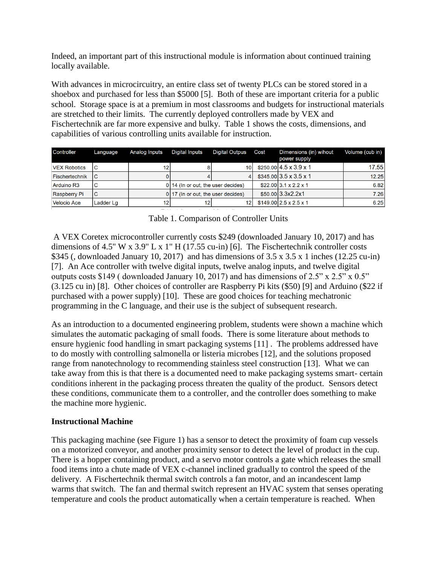Indeed, an important part of this instructional module is information about continued training locally available.

With advances in microcircuitry, an entire class set of twenty PLCs can be stored stored in a shoebox and purchased for less than \$5000 [5]. Both of these are important criteria for a public school. Storage space is at a premium in most classrooms and budgets for instructional materials are stretched to their limits. The currently deployed controllers made by VEX and Fischertechnik are far more expensive and bulky. Table 1 shows the costs, dimensions, and capabilities of various controlling units available for instruction.

| <b>Controller</b>     | Language  | Analog Inputs | <b>Digital Inputs</b>                | <b>Digital Outpus</b> | Cost | Dimensions (in) wihout<br>power supply | Volume (cub in) |
|-----------------------|-----------|---------------|--------------------------------------|-----------------------|------|----------------------------------------|-----------------|
| <b>VEX Robotics</b>   | IС        | 12            |                                      | 10                    |      | $$250.00$ 4.5 x 3.9 x 1                | 17.551          |
| <b>Fischertechnik</b> | ТC        |               |                                      | $\mathbf{A}$          |      | $$345.0013.5 \times 3.5 \times 1$      | 12.25           |
| Arduino R3            | C         |               | $0 14$ (In or out, the user decides) |                       |      | $$22.0013.1 \times 2.2 \times 1$       | 6.82            |
| <b>Raspberry Pi</b>   | IС        |               | $0 17$ (In or out, the user decides) |                       |      | \$50,00 3.3x2.2x1                      | 7.26            |
| <b>Velocio Ace</b>    | Ladder Lg | 12            | 12                                   | 12                    |      | $$149.0012.5 \times 2.5 \times 1$      | 6.25            |

## Table 1. Comparison of Controller Units

A VEX Coretex microcontroller currently costs \$249 (downloaded January 10, 2017) and has dimensions of 4.5" W x 3.9" L x 1" H (17.55 cu-in) [6]. The Fischertechnik controller costs \$345 (, downloaded January 10, 2017) and has dimensions of  $3.5 \times 3.5 \times 1$  inches (12.25 cu-in) [7]. An Ace controller with twelve digital inputs, twelve analog inputs, and twelve digital outputs costs \$149 ( downloaded January 10, 2017) and has dimensions of 2.5" x 2.5" x 0.5" (3.125 cu in) [8]. Other choices of controller are Raspberry Pi kits (\$50) [9] and Arduino (\$22 if purchased with a power supply) [10]. These are good choices for teaching mechatronic programming in the C language, and their use is the subject of subsequent research.

As an introduction to a documented engineering problem, students were shown a machine which simulates the automatic packaging of small foods. There is some literature about methods to ensure hygienic food handling in smart packaging systems [11] . The problems addressed have to do mostly with controlling salmonella or listeria microbes [12], and the solutions proposed range from nanotechnology to recommending stainless steel construction [13]. What we can take away from this is that there is a documented need to make packaging systems smart- certain conditions inherent in the packaging process threaten the quality of the product. Sensors detect these conditions, communicate them to a controller, and the controller does something to make the machine more hygienic.

### **Instructional Machine**

This packaging machine (see Figure 1) has a sensor to detect the proximity of foam cup vessels on a motorized conveyor, and another proximity sensor to detect the level of product in the cup. There is a hopper containing product, and a servo motor controls a gate which releases the small food items into a chute made of VEX c-channel inclined gradually to control the speed of the delivery. A Fischertechnik thermal switch controls a fan motor, and an incandescent lamp warms that switch. The fan and thermal switch represent an HVAC system that senses operating temperature and cools the product automatically when a certain temperature is reached. When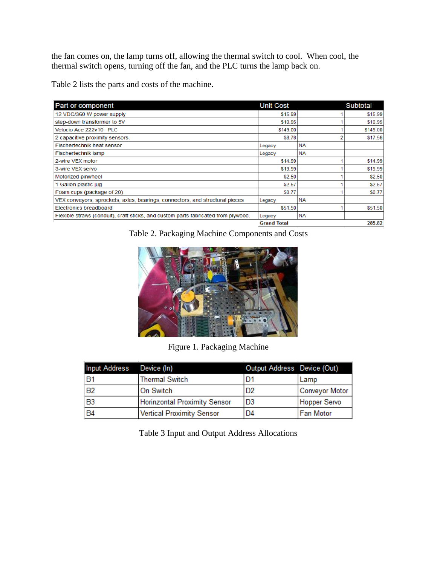the fan comes on, the lamp turns off, allowing the thermal switch to cool. When cool, the thermal switch opens, turning off the fan, and the PLC turns the lamp back on.

Table 2 lists the parts and costs of the machine.

| Part or component                                                                  | <b>Unit Cost</b>   |           | <b>Subtotal</b> |
|------------------------------------------------------------------------------------|--------------------|-----------|-----------------|
| 12 VDC/360 W power supply                                                          | \$15.99            |           | \$15.99         |
| step-down transformer to 5V                                                        | \$10.95            |           | \$10.95         |
| Velocio Ace 222v10 PLC                                                             | \$149.00           |           | \$149.00        |
| 2 capacitive proximity sensors,                                                    | \$8.78             |           | \$17.56         |
| <b>Fischertechnik heat sensor</b>                                                  | Legacy             | <b>NA</b> |                 |
| <b>Fischertechnik lamp</b>                                                         | Legacy             | <b>NA</b> |                 |
| 2-wire VEX motor                                                                   | \$14.99            |           | \$14.99         |
| 3-wire VEX servo                                                                   | \$19.99            |           | \$19.99         |
| Motorized pinwheel                                                                 | \$2.50             |           | \$2.50          |
| 1 Gallon plastic jug                                                               | \$2.57             |           | \$2.57          |
| Foam cups (package of 20)                                                          | \$0.77             |           | \$0.77          |
| VEX conveyors, sprockets, axles, bearings, connectors, and structural pieces       | Legacy             | <b>NA</b> |                 |
| <b>Electronics breadboard</b>                                                      | \$51.50            |           | \$51.50         |
| Flexible straws (conduit), craft sticks, and custom parts fabricated from plywood. | Legacy             | <b>NA</b> |                 |
|                                                                                    | <b>Grand Total</b> |           | 285.82          |

Table 2. Packaging Machine Components and Costs



Figure 1. Packaging Machine

| <b>Input Address</b> | Device (In)                         | Output Address Device (Out) |                     |
|----------------------|-------------------------------------|-----------------------------|---------------------|
| B1                   | <b>Thermal Switch</b>               | D1                          | Lamp                |
| B <sub>2</sub>       | On Switch                           | D <sub>2</sub>              | Conveyor Motor      |
| B <sub>3</sub>       | <b>Horinzontal Proximity Sensor</b> | D <sub>3</sub>              | <b>Hopper Servo</b> |
| <b>B4</b>            | Vertical Proximity Sensor           | D <sub>4</sub>              | <b>Fan Motor</b>    |

Table 3 Input and Output Address Allocations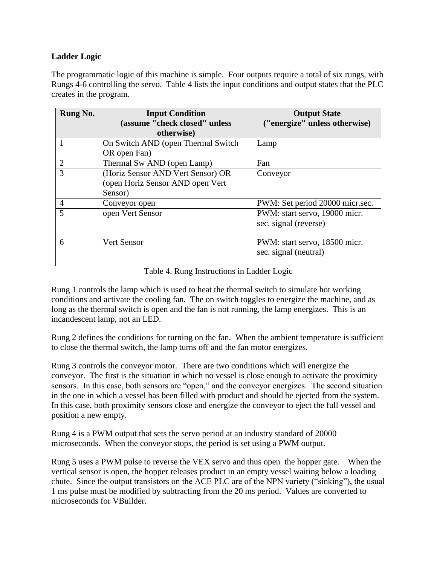## **Ladder Logic**

The programmatic logic of this machine is simple. Four outputs require a total of six rungs, with Rungs 4-6 controlling the servo. Table 4 lists the input conditions and output states that the PLC creates in the program.

| Rung No.       | <b>Input Condition</b><br>(assume "check closed" unless<br>otherwise)            | <b>Output State</b><br>("energize" unless otherwise)   |
|----------------|----------------------------------------------------------------------------------|--------------------------------------------------------|
|                | On Switch AND (open Thermal Switch<br>OR open Fan)                               | Lamp                                                   |
| $\overline{2}$ | Thermal Sw AND (open Lamp)                                                       | Fan                                                    |
| 3              | (Horiz Sensor AND Vert Sensor) OR<br>(open Horiz Sensor AND open Vert<br>Sensor) | Conveyor                                               |
| $\overline{4}$ | Conveyor open                                                                    | PWM: Set period 20000 micr.sec.                        |
| 5              | open Vert Sensor                                                                 | PWM: start servo, 19000 micr.<br>sec. signal (reverse) |
| 6              | <b>Vert Sensor</b>                                                               | PWM: start servo, 18500 micr.<br>sec. signal (neutral) |

Table 4. Rung Instructions in Ladder Logic

Rung 1 controls the lamp which is used to heat the thermal switch to simulate hot working conditions and activate the cooling fan. The on switch toggles to energize the machine, and as long as the thermal switch is open and the fan is not running, the lamp energizes. This is an incandescent lamp, not an LED.

Rung 2 defines the conditions for turning on the fan. When the ambient temperature is sufficient to close the thermal switch, the lamp turns off and the fan motor energizes.

Rung 3 controls the conveyor motor. There are two conditions which will energize the conveyor. The first is the situation in which no vessel is close enough to activate the proximity sensors. In this case, both sensors are "open," and the conveyor energizes. The second situation in the one in which a vessel has been filled with product and should be ejected from the system. In this case, both proximity sensors close and energize the conveyor to eject the full vessel and position a new empty.

Rung 4 is a PWM output that sets the servo period at an industry standard of 20000 microseconds. When the conveyor stops, the period is set using a PWM output.

Rung 5 uses a PWM pulse to reverse the VEX servo and thus open the hopper gate. When the vertical sensor is open, the hopper releases product in an empty vessel waiting below a loading chute. Since the output transistors on the ACE PLC are of the NPN variety ("sinking"), the usual 1 ms pulse must be modified by subtracting from the 20 ms period. Values are converted to microseconds for VBuilder.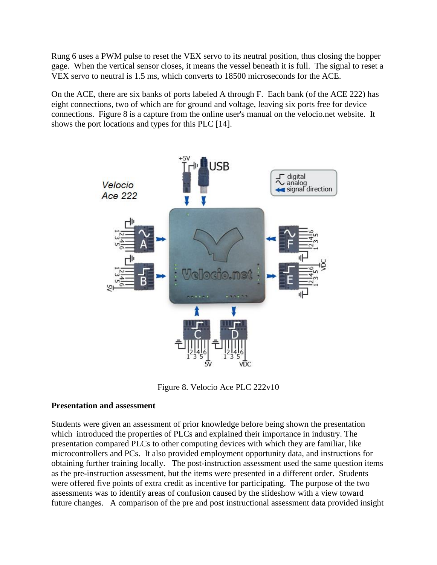Rung 6 uses a PWM pulse to reset the VEX servo to its neutral position, thus closing the hopper gage. When the vertical sensor closes, it means the vessel beneath it is full. The signal to reset a VEX servo to neutral is 1.5 ms, which converts to 18500 microseconds for the ACE.

On the ACE, there are six banks of ports labeled A through F. Each bank (of the ACE 222) has eight connections, two of which are for ground and voltage, leaving six ports free for device connections. Figure 8 is a capture from the online user's manual on the velocio.net website. It shows the port locations and types for this PLC [14].



Figure 8. Velocio Ace PLC 222v10

### **Presentation and assessment**

Students were given an assessment of prior knowledge before being shown the presentation which introduced the properties of PLCs and explained their importance in industry. The presentation compared PLCs to other computing devices with which they are familiar, like microcontrollers and PCs. It also provided employment opportunity data, and instructions for obtaining further training locally. The post-instruction assessment used the same question items as the pre-instruction assessment, but the items were presented in a different order. Students were offered five points of extra credit as incentive for participating. The purpose of the two assessments was to identify areas of confusion caused by the slideshow with a view toward future changes. A comparison of the pre and post instructional assessment data provided insight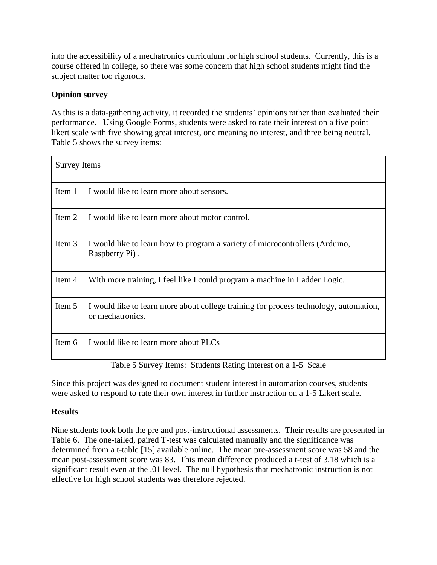into the accessibility of a mechatronics curriculum for high school students. Currently, this is a course offered in college, so there was some concern that high school students might find the subject matter too rigorous.

## **Opinion survey**

As this is a data-gathering activity, it recorded the students' opinions rather than evaluated their performance. Using Google Forms, students were asked to rate their interest on a five point likert scale with five showing great interest, one meaning no interest, and three being neutral. Table 5 shows the survey items:

| <b>Survey Items</b> |                                                                                                                                                                                                                                                                                                                                                                                                                                                                                 |
|---------------------|---------------------------------------------------------------------------------------------------------------------------------------------------------------------------------------------------------------------------------------------------------------------------------------------------------------------------------------------------------------------------------------------------------------------------------------------------------------------------------|
| Item 1              | I would like to learn more about sensors.                                                                                                                                                                                                                                                                                                                                                                                                                                       |
| Item 2              | I would like to learn more about motor control.                                                                                                                                                                                                                                                                                                                                                                                                                                 |
| Item 3              | I would like to learn how to program a variety of microcontrollers (Arduino,<br>Raspberry Pi).                                                                                                                                                                                                                                                                                                                                                                                  |
| Item 4              | With more training, I feel like I could program a machine in Ladder Logic.                                                                                                                                                                                                                                                                                                                                                                                                      |
| Item 5              | I would like to learn more about college training for process technology, automation,<br>or mechatronics.                                                                                                                                                                                                                                                                                                                                                                       |
| Item 6              | I would like to learn more about PLCs<br>$\alpha$ , $\alpha$ , $\alpha$ , $\alpha$ , $\alpha$ , $\alpha$ , $\alpha$ , $\alpha$ , $\alpha$ , $\alpha$ , $\alpha$ , $\alpha$ , $\alpha$ , $\alpha$ , $\alpha$ , $\alpha$ , $\alpha$ , $\alpha$ , $\alpha$ , $\alpha$ , $\alpha$ , $\alpha$ , $\alpha$ , $\alpha$ , $\alpha$ , $\alpha$ , $\alpha$ , $\alpha$ , $\alpha$ , $\alpha$ , $\alpha$ , $\alpha$ , $\alpha$ , $\alpha$ , $\alpha$ , $\alpha$ , $\alpha$ ,<br>$T11.50$ $L$ |

Table 5 Survey Items: Students Rating Interest on a 1-5 Scale

Since this project was designed to document student interest in automation courses, students were asked to respond to rate their own interest in further instruction on a 1-5 Likert scale.

## **Results**

Nine students took both the pre and post-instructional assessments. Their results are presented in Table 6. The one-tailed, paired T-test was calculated manually and the significance was determined from a t-table [15] available online. The mean pre-assessment score was 58 and the mean post-assessment score was 83. This mean difference produced a t-test of 3.18 which is a significant result even at the .01 level. The null hypothesis that mechatronic instruction is not effective for high school students was therefore rejected.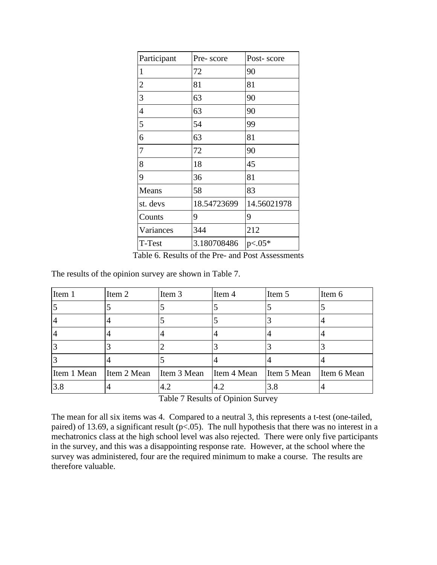| Participant    | Pre-score   | Post-score  |
|----------------|-------------|-------------|
| $\mathbf{1}$   | 72          | 90          |
| $\overline{2}$ | 81          | 81          |
| 3              | 63          | 90          |
| $\overline{4}$ | 63          | 90          |
| 5              | 54          | 99          |
| 6              | 63          | 81          |
| 7              | 72          | 90          |
| 8              | 18          | 45          |
| 9              | 36          | 81          |
| Means          | 58          | 83          |
| st. devs       | 18.54723699 | 14.56021978 |
| Counts         | 9           | 9           |
| Variances      | 344         | 212         |
| T-Test         | 3.180708486 | $p<.05*$    |

Table 6. Results of the Pre- and Post Assessments

The results of the opinion survey are shown in Table 7.

| Item 1      | Item 2      | Item 3      | Item 4      | Item 5      | Item 6      |
|-------------|-------------|-------------|-------------|-------------|-------------|
|             |             |             |             |             |             |
|             |             |             |             |             |             |
|             |             |             |             |             |             |
|             |             |             |             |             |             |
|             |             |             |             |             |             |
| Item 1 Mean | Item 2 Mean | Item 3 Mean | Item 4 Mean | Item 5 Mean | Item 6 Mean |
| 3.8         |             | 4.2         | 4.2         | 3.8         |             |

Table 7 Results of Opinion Survey

The mean for all six items was 4. Compared to a neutral 3, this represents a t-test (one-tailed, paired) of 13.69, a significant result ( $p<0.05$ ). The null hypothesis that there was no interest in a mechatronics class at the high school level was also rejected. There were only five participants in the survey, and this was a disappointing response rate. However, at the school where the survey was administered, four are the required minimum to make a course. The results are therefore valuable.